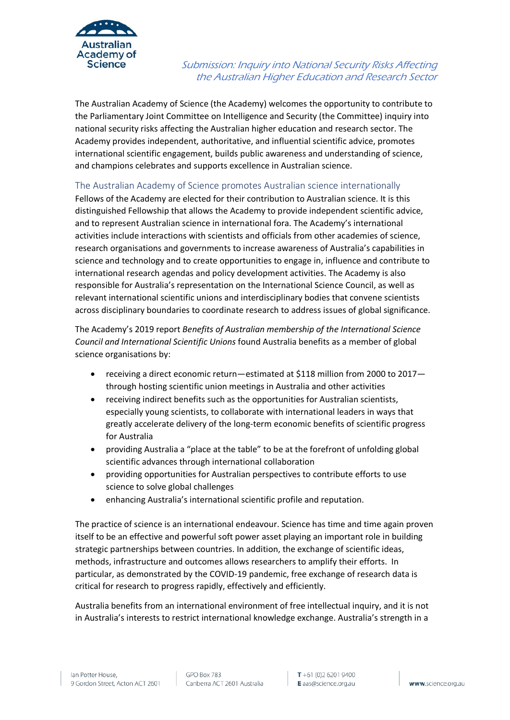

Submission: Inquiry into National Security Risks Affecting the Australian Higher Education and Research Sector

The Australian Academy of Science (the Academy) welcomes the opportunity to contribute to the Parliamentary Joint Committee on Intelligence and Security (the Committee) inquiry into national security risks affecting the Australian higher education and research sector. The Academy provides independent, authoritative, and influential scientific advice, promotes international scientific engagement, builds public awareness and understanding of science, and champions celebrates and supports excellence in Australian science.

## The Australian Academy of Science promotes Australian science internationally

Fellows of the Academy are elected for their contribution to Australian science. It is this distinguished Fellowship that allows the Academy to provide independent scientific advice, and to represent Australian science in international fora. The Academy's international activities include interactions with scientists and officials from other academies of science, research organisations and governments to increase awareness of Australia's capabilities in science and technology and to create opportunities to engage in, influence and contribute to international research agendas and policy development activities. The Academy is also responsible for Australia's representation on the International Science Council, as well as relevant international scientific unions and interdisciplinary bodies that convene scientists across disciplinary boundaries to coordinate research to address issues of global significance.

The Academy's 2019 report *Benefits of Australian membership of the International Science Council and International Scientific Unions* found Australia benefits as a member of global science organisations by:

- receiving a direct economic return—estimated at \$118 million from 2000 to 2017 through hosting scientific union meetings in Australia and other activities
- receiving indirect benefits such as the opportunities for Australian scientists, especially young scientists, to collaborate with international leaders in ways that greatly accelerate delivery of the long-term economic benefits of scientific progress for Australia
- providing Australia a "place at the table" to be at the forefront of unfolding global scientific advances through international collaboration
- providing opportunities for Australian perspectives to contribute efforts to use science to solve global challenges
- enhancing Australia's international scientific profile and reputation.

The practice of science is an international endeavour. Science has time and time again proven itself to be an effective and powerful soft power asset playing an important role in building strategic partnerships between countries. In addition, the exchange of scientific ideas, methods, infrastructure and outcomes allows researchers to amplify their efforts. In particular, as demonstrated by the COVID-19 pandemic, free exchange of research data is critical for research to progress rapidly, effectively and efficiently.

Australia benefits from an international environment of free intellectual inquiry, and it is not in Australia's interests to restrict international knowledge exchange. Australia's strength in a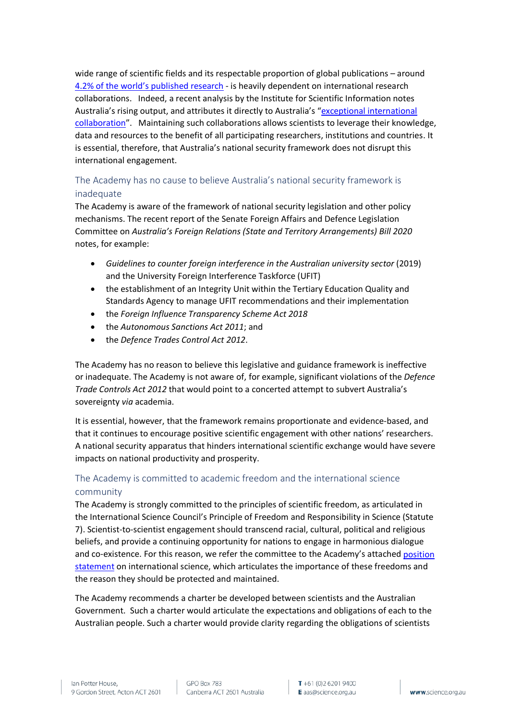wide range of scientific fields and its respectable proportion of global publications – around 4.2% of the world's [published](https://publications.industry.gov.au/publications/australianinnovationsystemmonitor/science-and-research/research-output/index.html) research - is heavily dependent on international research collaborations. Indeed, a recent analysis by the Institute for Scientific Information notes Australia's rising output, and attributes it directly to Australia's ["exceptional international](https://clarivate.com/webofsciencegroup/wp-content/uploads/sites/2/dlm_uploads/2020/11/WS576553855-ISI-GRR-G20-Annual-Scorecard-Report-v7-DIGITAL-2.pdf)  [collaboration"](https://clarivate.com/webofsciencegroup/wp-content/uploads/sites/2/dlm_uploads/2020/11/WS576553855-ISI-GRR-G20-Annual-Scorecard-Report-v7-DIGITAL-2.pdf). Maintaining such collaborations allows scientists to leverage their knowledge, data and resources to the benefit of all participating researchers, institutions and countries. It is essential, therefore, that Australia's national security framework does not disrupt this international engagement.

## The Academy has no cause to believe Australia's national security framework is inadequate

The Academy is aware of the framework of national security legislation and other policy mechanisms. The recent report of the Senate Foreign Affairs and Defence Legislation Committee on *Australia's Foreign Relations (State and Territory Arrangements) Bill 2020*  notes, for example:

- *Guidelines to counter foreign interference in the Australian university sector* (2019) and the University Foreign Interference Taskforce (UFIT)
- the establishment of an Integrity Unit within the Tertiary Education Quality and Standards Agency to manage UFIT recommendations and their implementation
- the *Foreign Influence Transparency Scheme Act 2018*
- the *Autonomous Sanctions Act 2011*; and
- the *Defence Trades Control Act 2012*.

The Academy has no reason to believe this legislative and guidance framework is ineffective or inadequate. The Academy is not aware of, for example, significant violations of the *Defence Trade Controls Act 2012* that would point to a concerted attempt to subvert Australia's sovereignty *via* academia.

It is essential, however, that the framework remains proportionate and evidence-based, and that it continues to encourage positive scientific engagement with other nations' researchers. A national security apparatus that hinders international scientific exchange would have severe impacts on national productivity and prosperity.

## The Academy is committed to academic freedom and the international science community

The Academy is strongly committed to the principles of scientific freedom, as articulated in the International Science Council's Principle of Freedom and Responsibility in Science (Statute 7). Scientist-to-scientist engagement should transcend racial, cultural, political and religious beliefs, and provide a continuing opportunity for nations to engage in harmonious dialogue and co-existence. For this reason, we refer the committee to the Academy's attached position [statement](https://www.science.org.au/supporting-science/science-policy-and-analysis/position-statements/position-statement-international) on international science, which articulates the importance of these freedoms and the reason they should be protected and maintained.

The Academy recommends a charter be developed between scientists and the Australian Government. Such a charter would articulate the expectations and obligations of each to the Australian people. Such a charter would provide clarity regarding the obligations of scientists